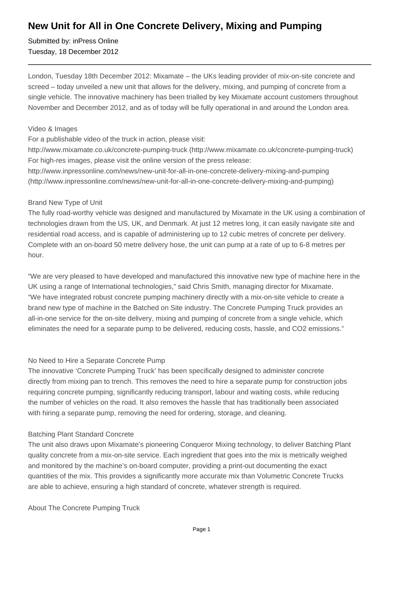# **New Unit for All in One Concrete Delivery, Mixing and Pumping**

Submitted by: inPress Online Tuesday, 18 December 2012

London, Tuesday 18th December 2012: Mixamate – the UKs leading provider of mix-on-site concrete and screed – today unveiled a new unit that allows for the delivery, mixing, and pumping of concrete from a single vehicle. The innovative machinery has been trialled by key Mixamate account customers throughout November and December 2012, and as of today will be fully operational in and around the London area.

#### Video & Images

For a publishable video of the truck in action, please visit:

http://www.mixamate.co.uk/concrete-pumping-truck (http://www.mixamate.co.uk/concrete-pumping-truck) For high-res images, please visit the online version of the press release:

http://www.inpressonline.com/news/new-unit-for-all-in-one-concrete-delivery-mixing-and-pumping (http://www.inpressonline.com/news/new-unit-for-all-in-one-concrete-delivery-mixing-and-pumping)

#### Brand New Type of Unit

The fully road-worthy vehicle was designed and manufactured by Mixamate in the UK using a combination of technologies drawn from the US, UK, and Denmark. At just 12 metres long, it can easily navigate site and residential road access, and is capable of administering up to 12 cubic metres of concrete per delivery. Complete with an on-board 50 metre delivery hose, the unit can pump at a rate of up to 6-8 metres per hour.

"We are very pleased to have developed and manufactured this innovative new type of machine here in the UK using a range of International technologies," said Chris Smith, managing director for Mixamate. "We have integrated robust concrete pumping machinery directly with a mix-on-site vehicle to create a brand new type of machine in the Batched on Site industry. The Concrete Pumping Truck provides an all-in-one service for the on-site delivery, mixing and pumping of concrete from a single vehicle, which eliminates the need for a separate pump to be delivered, reducing costs, hassle, and CO2 emissions."

## No Need to Hire a Separate Concrete Pump

The innovative 'Concrete Pumping Truck' has been specifically designed to administer concrete directly from mixing pan to trench. This removes the need to hire a separate pump for construction jobs requiring concrete pumping, significantly reducing transport, labour and waiting costs, while reducing the number of vehicles on the road. It also removes the hassle that has traditionally been associated with hiring a separate pump, removing the need for ordering, storage, and cleaning.

## Batching Plant Standard Concrete

The unit also draws upon Mixamate's pioneering Conqueror Mixing technology, to deliver Batching Plant quality concrete from a mix-on-site service. Each ingredient that goes into the mix is metrically weighed and monitored by the machine's on-board computer, providing a print-out documenting the exact quantities of the mix. This provides a significantly more accurate mix than Volumetric Concrete Trucks are able to achieve, ensuring a high standard of concrete, whatever strength is required.

About The Concrete Pumping Truck